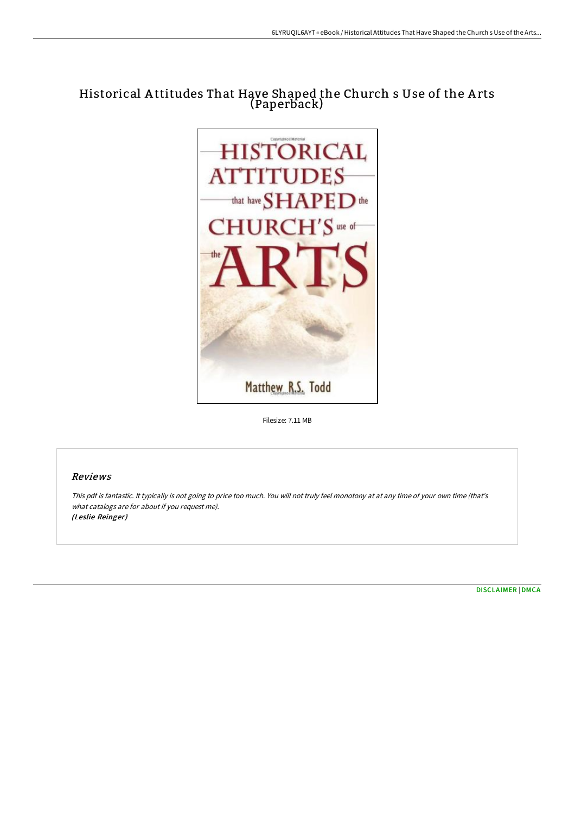## Historical A ttitudes That Have Shaped the Church s Use of the A rts (Paperback)



Filesize: 7.11 MB

## Reviews

This pdf is fantastic. It typically is not going to price too much. You will not truly feel monotony at at any time of your own time (that's what catalogs are for about if you request me). (Leslie Reinger)

[DISCLAIMER](http://techno-pub.tech/disclaimer.html) | [DMCA](http://techno-pub.tech/dmca.html)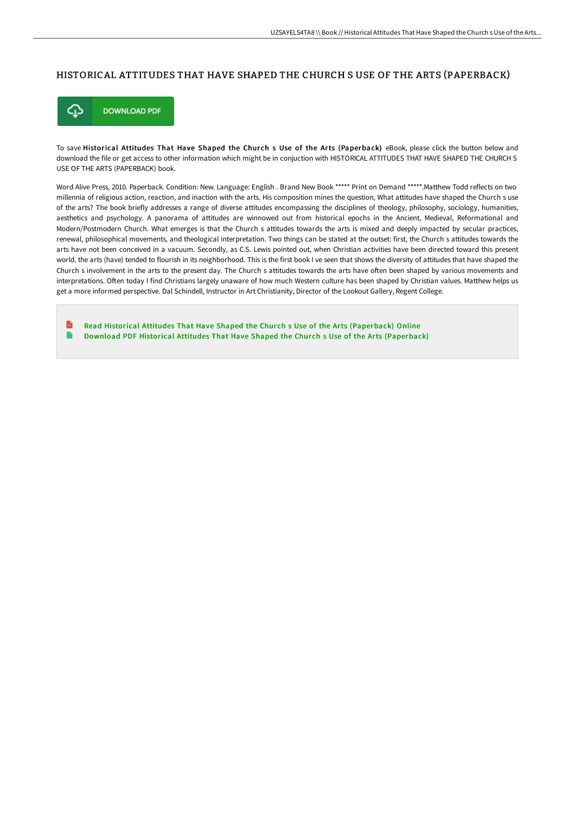## HISTORICAL ATTITUDES THAT HAVE SHAPED THE CHURCH S USE OF THE ARTS (PAPERBACK)



To save Historical Attitudes That Have Shaped the Church s Use of the Arts (Paperback) eBook, please click the button below and download the file or get access to other information which might be in conjuction with HISTORICAL ATTITUDES THAT HAVE SHAPED THE CHURCH S USE OF THE ARTS (PAPERBACK) book.

Word Alive Press, 2010. Paperback. Condition: New. Language: English . Brand New Book \*\*\*\*\* Print on Demand \*\*\*\*\*. Matthew Todd reflects on two millennia of religious action, reaction, and inaction with the arts. His composition mines the question, What attitudes have shaped the Church s use of the arts? The book briefly addresses a range of diverse attitudes encompassing the disciplines of theology, philosophy, sociology, humanities, aesthetics and psychology. A panorama of attitudes are winnowed out from historical epochs in the Ancient, Medieval, Reformational and Modern/Postmodern Church. What emerges is that the Church s attitudes towards the arts is mixed and deeply impacted by secular practices, renewal, philosophical movements, and theological interpretation. Two things can be stated at the outset: first, the Church s attitudes towards the arts have not been conceived in a vacuum. Secondly, as C.S. Lewis pointed out, when Christian activities have been directed toward this present world. the arts (have) tended to flourish in its neighborhood. This is the first book I ve seen that shows the diversity of attitudes that have shaped the Church s involvement in the arts to the present day. The Church s attitudes towards the arts have often been shaped by various movements and interpretations. OFen today I find Christians largely unaware of how much Western culture has been shaped by Christian values. Matthew helps us get a more informed perspective. Dal Schindell, Instructor in Art Christianity, Director of the Lookout Gallery, Regent College.

 $\mathbf{r}$ Read Historical Attitudes That Have Shaped the Church s Use of the Arts [\(Paperback\)](http://techno-pub.tech/historical-attitudes-that-have-shaped-the-church.html) Online B Download PDF Historical Attitudes That Have Shaped the Church s Use of the Arts [\(Paperback\)](http://techno-pub.tech/historical-attitudes-that-have-shaped-the-church.html)